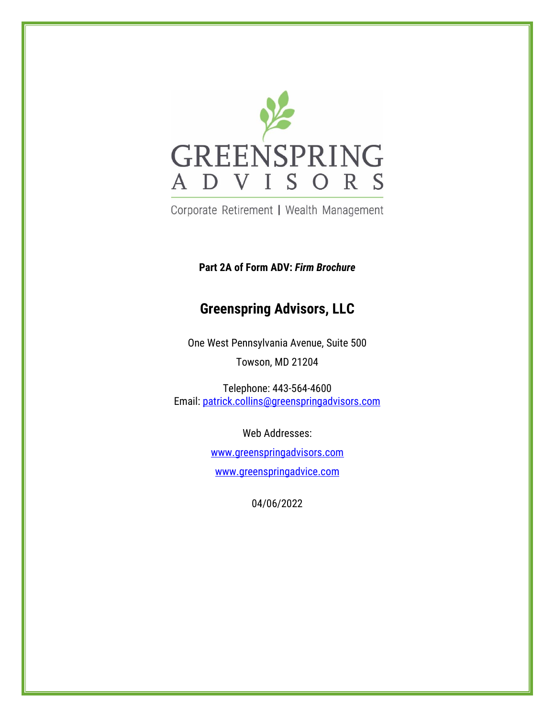

Corporate Retirement | Wealth Management

**Part 2A of Form ADV:** *Firm Brochure*

# **Greenspring Advisors, LLC**

One West Pennsylvania Avenue, Suite 500 Towson, MD 21204

Telephone: 443-564-4600 Email: patrick.collins@greenspringadvisors.com

> Web Addresses: [www.greenspringadvisors.com](http://www.greenspringadvisors.com/) [www.greenspringadvice.com](http://www.greenspringadvice.com/)

> > 04/06/2022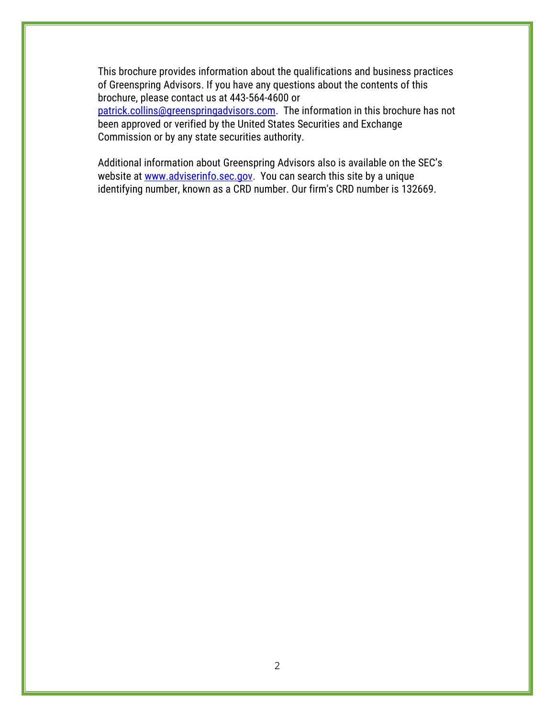This brochure provides information about the qualifications and business practices of Greenspring Advisors. If you have any questions about the contents of this brochure, please contact us at 443-564-4600 or [patrick.collins@greenspringadvisors.com.](file://///v053.os33.net/Greenspring/groups/Greenspring%20Confidential/Compliance/Form%20ADV/2020/patrick.collins@greenspringadvisors.com) The information in this brochure has not been approved or verified by the United States Securities and Exchange Commission or by any state securities authority.

Additional information about Greenspring Advisors also is available on the SEC's website at [www.adviserinfo.sec.gov.](http://www.adviserinfo.sec.gov/) You can search this site by a unique identifying number, known as a CRD number. Our firm's CRD number is 132669.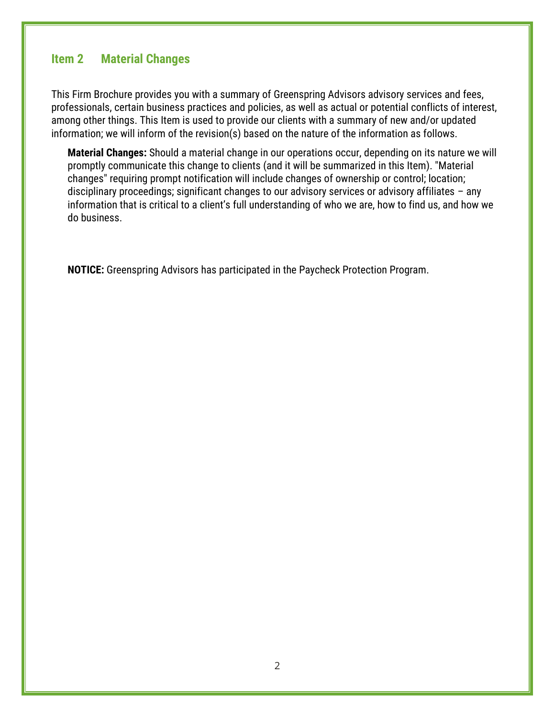# <span id="page-2-0"></span>**Item 2 Material Changes**

This Firm Brochure provides you with a summary of Greenspring Advisors advisory services and fees, professionals, certain business practices and policies, as well as actual or potential conflicts of interest, among other things. This Item is used to provide our clients with a summary of new and/or updated information; we will inform of the revision(s) based on the nature of the information as follows.

**Material Changes:** Should a material change in our operations occur, depending on its nature we will promptly communicate this change to clients (and it will be summarized in this Item). "Material changes" requiring prompt notification will include changes of ownership or control; location; disciplinary proceedings; significant changes to our advisory services or advisory affiliates – any information that is critical to a client's full understanding of who we are, how to find us, and how we do business.

**NOTICE:** Greenspring Advisors has participated in the Paycheck Protection Program.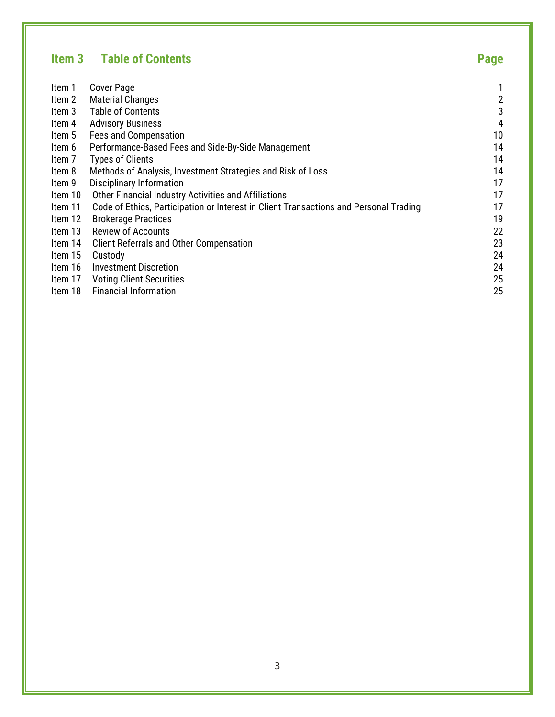# <span id="page-3-0"></span>**Item 3 Table of Contents Page**

| Item 1  | <b>Cover Page</b>                                                                     |                |
|---------|---------------------------------------------------------------------------------------|----------------|
| Item 2  | <b>Material Changes</b>                                                               | $\overline{c}$ |
| Item 3  | <b>Table of Contents</b>                                                              | 3              |
| Item 4  | <b>Advisory Business</b>                                                              | 4              |
| Item 5  | Fees and Compensation                                                                 | 10             |
| Item 6  | Performance-Based Fees and Side-By-Side Management                                    | 14             |
| Item 7  | <b>Types of Clients</b>                                                               | 14             |
| Item 8  | Methods of Analysis, Investment Strategies and Risk of Loss                           | 14             |
| Item 9  | Disciplinary Information                                                              | 17             |
| Item 10 | Other Financial Industry Activities and Affiliations                                  | 17             |
| Item 11 | Code of Ethics, Participation or Interest in Client Transactions and Personal Trading | 17             |
| Item 12 | <b>Brokerage Practices</b>                                                            | 19             |
| Item 13 | <b>Review of Accounts</b>                                                             | 22             |
| ltem 14 | <b>Client Referrals and Other Compensation</b>                                        | 23             |
| Item 15 | Custody                                                                               | 24             |
| Item 16 | <b>Investment Discretion</b>                                                          | 24             |
| Item 17 | <b>Voting Client Securities</b>                                                       | 25             |
| Item 18 | <b>Financial Information</b>                                                          | 25             |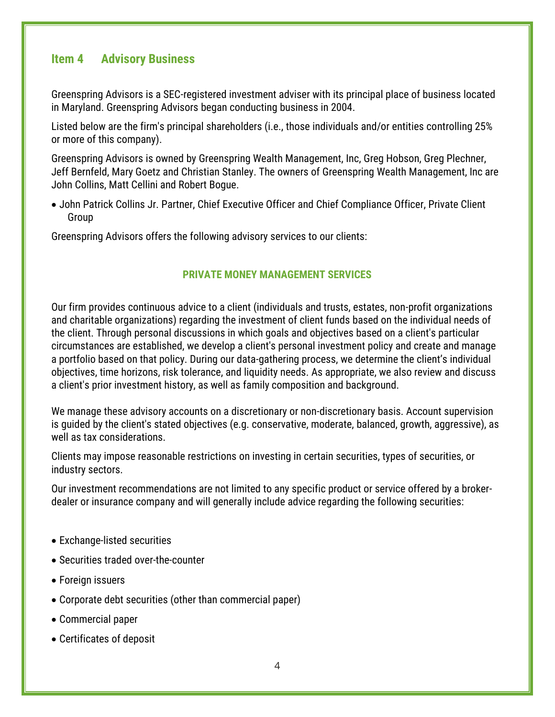# <span id="page-4-0"></span>**Item 4 Advisory Business**

Greenspring Advisors is a SEC-registered investment adviser with its principal place of business located in Maryland. Greenspring Advisors began conducting business in 2004.

Listed below are the firm's principal shareholders (i.e., those individuals and/or entities controlling 25% or more of this company).

Greenspring Advisors is owned by Greenspring Wealth Management, Inc, Greg Hobson, Greg Plechner, Jeff Bernfeld, Mary Goetz and Christian Stanley. The owners of Greenspring Wealth Management, Inc are John Collins, Matt Cellini and Robert Bogue.

• John Patrick Collins Jr. Partner, Chief Executive Officer and Chief Compliance Officer, Private Client Group

Greenspring Advisors offers the following advisory services to our clients:

#### **PRIVATE MONEY MANAGEMENT SERVICES**

Our firm provides continuous advice to a client (individuals and trusts, estates, non-profit organizations and charitable organizations) regarding the investment of client funds based on the individual needs of the client. Through personal discussions in which goals and objectives based on a client's particular circumstances are established, we develop a client's personal investment policy and create and manage a portfolio based on that policy. During our data-gathering process, we determine the client's individual objectives, time horizons, risk tolerance, and liquidity needs. As appropriate, we also review and discuss a client's prior investment history, as well as family composition and background.

We manage these advisory accounts on a discretionary or non-discretionary basis. Account supervision is guided by the client's stated objectives (e.g. conservative, moderate, balanced, growth, aggressive), as well as tax considerations.

Clients may impose reasonable restrictions on investing in certain securities, types of securities, or industry sectors.

Our investment recommendations are not limited to any specific product or service offered by a brokerdealer or insurance company and will generally include advice regarding the following securities:

- Exchange-listed securities
- Securities traded over-the-counter
- Foreign issuers
- Corporate debt securities (other than commercial paper)
- Commercial paper
- Certificates of deposit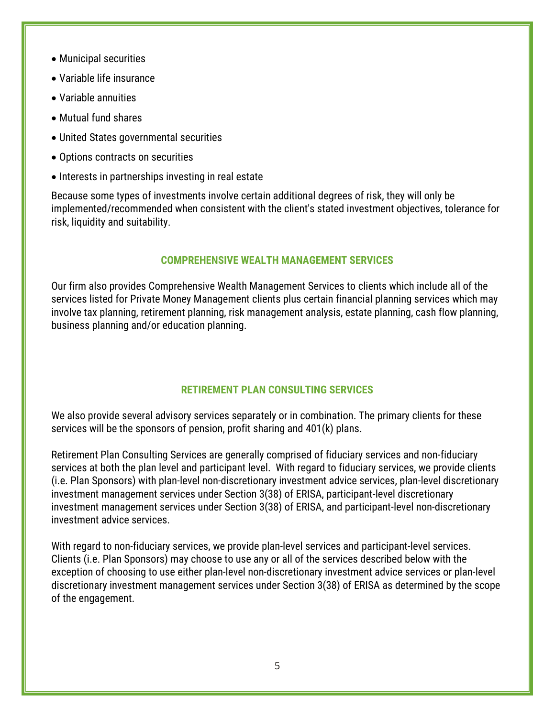- Municipal securities
- Variable life insurance
- Variable annuities
- Mutual fund shares
- United States governmental securities
- Options contracts on securities
- Interests in partnerships investing in real estate

Because some types of investments involve certain additional degrees of risk, they will only be implemented/recommended when consistent with the client's stated investment objectives, tolerance for risk, liquidity and suitability.

### **COMPREHENSIVE WEALTH MANAGEMENT SERVICES**

Our firm also provides Comprehensive Wealth Management Services to clients which include all of the services listed for Private Money Management clients plus certain financial planning services which may involve tax planning, retirement planning, risk management analysis, estate planning, cash flow planning, business planning and/or education planning.

### **RETIREMENT PLAN CONSULTING SERVICES**

We also provide several advisory services separately or in combination. The primary clients for these services will be the sponsors of pension, profit sharing and 401(k) plans.

Retirement Plan Consulting Services are generally comprised of fiduciary services and non-fiduciary services at both the plan level and participant level. With regard to fiduciary services, we provide clients (i.e. Plan Sponsors) with plan-level non-discretionary investment advice services, plan-level discretionary investment management services under Section 3(38) of ERISA, participant-level discretionary investment management services under Section 3(38) of ERISA, and participant-level non-discretionary investment advice services.

With regard to non-fiduciary services, we provide plan-level services and participant-level services. Clients (i.e. Plan Sponsors) may choose to use any or all of the services described below with the exception of choosing to use either plan-level non-discretionary investment advice services or plan-level discretionary investment management services under Section 3(38) of ERISA as determined by the scope of the engagement.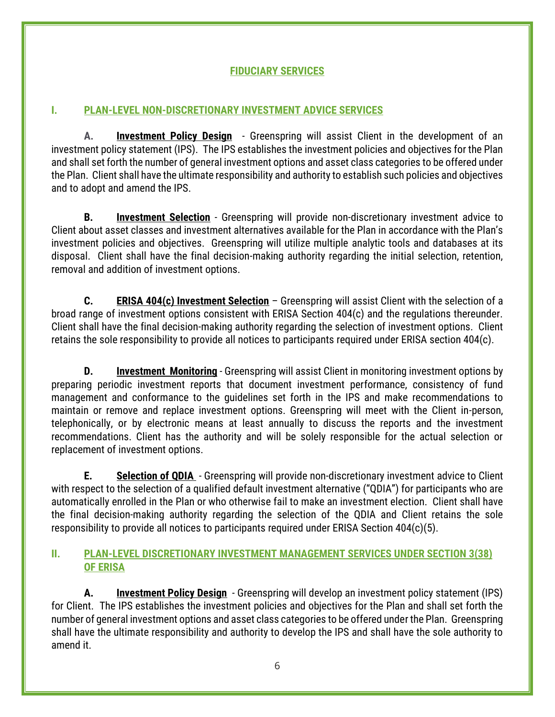# **FIDUCIARY SERVICES**

# **I. PLAN-LEVEL NON-DISCRETIONARY INVESTMENT ADVICE SERVICES**

**A. Investment Policy Design** - Greenspring will assist Client in the development of an investment policy statement (IPS). The IPS establishes the investment policies and objectives for the Plan and shall set forth the number of general investment options and asset class categories to be offered under the Plan. Client shall have the ultimate responsibility and authority to establish such policies and objectives and to adopt and amend the IPS.

**B. Investment Selection** - Greenspring will provide non-discretionary investment advice to Client about asset classes and investment alternatives available for the Plan in accordance with the Plan's investment policies and objectives. Greenspring will utilize multiple analytic tools and databases at its disposal. Client shall have the final decision-making authority regarding the initial selection, retention, removal and addition of investment options.

**C. ERISA 404(c) Investment Selection** – Greenspring will assist Client with the selection of a broad range of investment options consistent with ERISA Section 404(c) and the regulations thereunder. Client shall have the final decision-making authority regarding the selection of investment options. Client retains the sole responsibility to provide all notices to participants required under ERISA section 404(c).

**D. Investment Monitoring** - Greenspring will assist Client in monitoring investment options by preparing periodic investment reports that document investment performance, consistency of fund management and conformance to the guidelines set forth in the IPS and make recommendations to maintain or remove and replace investment options. Greenspring will meet with the Client in-person, telephonically, or by electronic means at least annually to discuss the reports and the investment recommendations. Client has the authority and will be solely responsible for the actual selection or replacement of investment options.

**E. Selection of QDIA** - Greenspring will provide non-discretionary investment advice to Client with respect to the selection of a qualified default investment alternative ("QDIA") for participants who are automatically enrolled in the Plan or who otherwise fail to make an investment election. Client shall have the final decision-making authority regarding the selection of the QDIA and Client retains the sole responsibility to provide all notices to participants required under ERISA Section 404(c)(5).

### **II. PLAN-LEVEL DISCRETIONARY INVESTMENT MANAGEMENT SERVICES UNDER SECTION 3(38) OF ERISA**

**A. Investment Policy Design** - Greenspring will develop an investment policy statement (IPS) for Client. The IPS establishes the investment policies and objectives for the Plan and shall set forth the number of general investment options and asset class categories to be offered under the Plan. Greenspring shall have the ultimate responsibility and authority to develop the IPS and shall have the sole authority to amend it.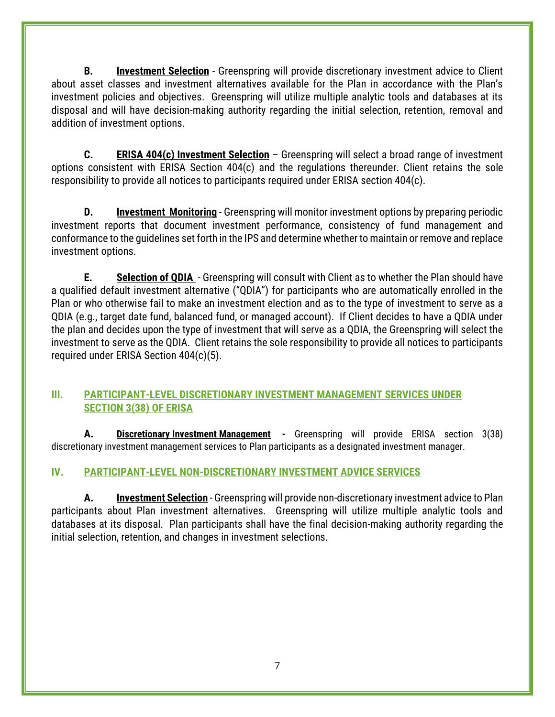**B. Investment Selection** - Greenspring will provide discretionary investment advice to Client about asset classes and investment alternatives available for the Plan in accordance with the Plan's investment policies and objectives. Greenspring will utilize multiple analytic tools and databases at its disposal and will have decision-making authority regarding the initial selection, retention, removal and addition of investment options.

**C. ERISA 404(c) Investment Selection** – Greenspring will select a broad range of investment options consistent with ERISA Section 404(c) and the regulations thereunder. Client retains the sole responsibility to provide all notices to participants required under ERISA section 404(c).

**D. Investment Monitoring** - Greenspring will monitor investment options by preparing periodic investment reports that document investment performance, consistency of fund management and conformance to the guidelines set forth in the IPS and determine whether to maintain or remove and replace investment options.

**E. Selection of QDIA** - Greenspring will consult with Client as to whether the Plan should have a qualified default investment alternative ("QDIA") for participants who are automatically enrolled in the Plan or who otherwise fail to make an investment election and as to the type of investment to serve as a QDIA (e.g., target date fund, balanced fund, or managed account). If Client decides to have a QDIA under the plan and decides upon the type of investment that will serve as a QDIA, the Greenspring will select the investment to serve as the QDIA. Client retains the sole responsibility to provide all notices to participants required under ERISA Section 404(c)(5).

### **III. PARTICIPANT-LEVEL DISCRETIONARY INVESTMENT MANAGEMENT SERVICES UNDER SECTION 3(38) OF ERISA**

**A. Discretionary Investment Management -** Greenspring will provide ERISA section 3(38) discretionary investment management services to Plan participants as a designated investment manager.

# **IV. PARTICIPANT-LEVEL NON-DISCRETIONARY INVESTMENT ADVICE SERVICES**

**A. Investment Selection** - Greenspring will provide non-discretionary investment advice to Plan participants about Plan investment alternatives. Greenspring will utilize multiple analytic tools and databases at its disposal. Plan participants shall have the final decision-making authority regarding the initial selection, retention, and changes in investment selections.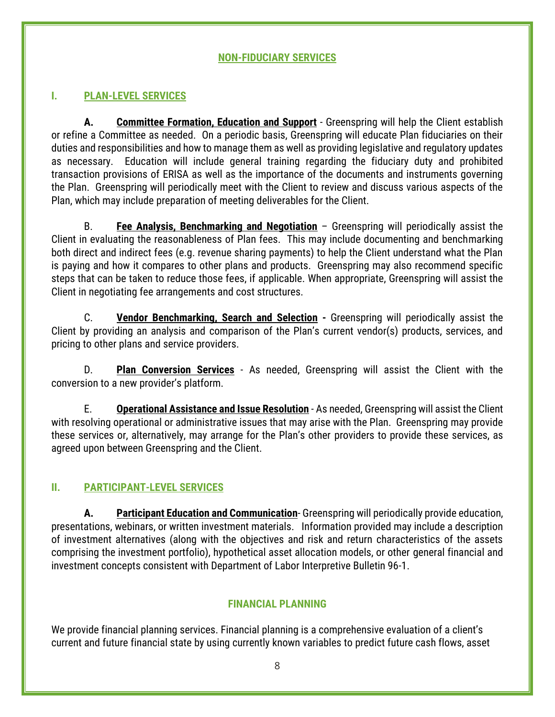### **NON-FIDUCIARY SERVICES**

### **I. PLAN-LEVEL SERVICES**

**A. Committee Formation, Education and Support** - Greenspring will help the Client establish or refine a Committee as needed. On a periodic basis, Greenspring will educate Plan fiduciaries on their duties and responsibilities and how to manage them as well as providing legislative and regulatory updates as necessary. Education will include general training regarding the fiduciary duty and prohibited transaction provisions of ERISA as well as the importance of the documents and instruments governing the Plan. Greenspring will periodically meet with the Client to review and discuss various aspects of the Plan, which may include preparation of meeting deliverables for the Client.

B. **Fee Analysis, Benchmarking and Negotiation** – Greenspring will periodically assist the Client in evaluating the reasonableness of Plan fees. This may include documenting and benchmarking both direct and indirect fees (e.g. revenue sharing payments) to help the Client understand what the Plan is paying and how it compares to other plans and products. Greenspring may also recommend specific steps that can be taken to reduce those fees, if applicable. When appropriate, Greenspring will assist the Client in negotiating fee arrangements and cost structures.

C. **Vendor Benchmarking, Search and Selection -** Greenspring will periodically assist the Client by providing an analysis and comparison of the Plan's current vendor(s) products, services, and pricing to other plans and service providers.

D. **Plan Conversion Services** - As needed, Greenspring will assist the Client with the conversion to a new provider's platform.

E. **Operational Assistance and Issue Resolution** - As needed, Greenspring will assist the Client with resolving operational or administrative issues that may arise with the Plan. Greenspring may provide these services or, alternatively, may arrange for the Plan's other providers to provide these services, as agreed upon between Greenspring and the Client.

#### **II. PARTICIPANT-LEVEL SERVICES**

**A. Participant Education and Communication**- Greenspring will periodically provide education, presentations, webinars, or written investment materials. Information provided may include a description of investment alternatives (along with the objectives and risk and return characteristics of the assets comprising the investment portfolio), hypothetical asset allocation models, or other general financial and investment concepts consistent with Department of Labor Interpretive Bulletin 96-1.

#### **FINANCIAL PLANNING**

We provide financial planning services. Financial planning is a comprehensive evaluation of a client's current and future financial state by using currently known variables to predict future cash flows, asset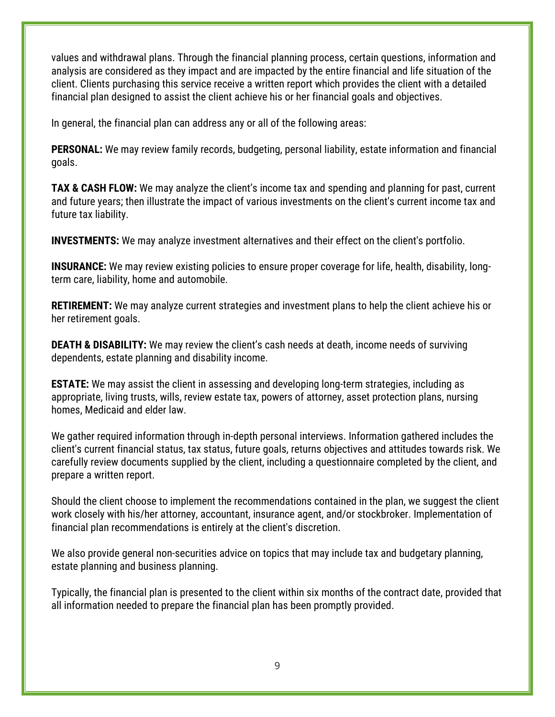values and withdrawal plans. Through the financial planning process, certain questions, information and analysis are considered as they impact and are impacted by the entire financial and life situation of the client. Clients purchasing this service receive a written report which provides the client with a detailed financial plan designed to assist the client achieve his or her financial goals and objectives.

In general, the financial plan can address any or all of the following areas:

**PERSONAL:** We may review family records, budgeting, personal liability, estate information and financial goals.

**TAX & CASH FLOW:** We may analyze the client's income tax and spending and planning for past, current and future years; then illustrate the impact of various investments on the client's current income tax and future tax liability.

**INVESTMENTS:** We may analyze investment alternatives and their effect on the client's portfolio.

**INSURANCE:** We may review existing policies to ensure proper coverage for life, health, disability, longterm care, liability, home and automobile.

**RETIREMENT:** We may analyze current strategies and investment plans to help the client achieve his or her retirement goals.

**DEATH & DISABILITY:** We may review the client's cash needs at death, income needs of surviving dependents, estate planning and disability income.

**ESTATE:** We may assist the client in assessing and developing long-term strategies, including as appropriate, living trusts, wills, review estate tax, powers of attorney, asset protection plans, nursing homes, Medicaid and elder law.

We gather required information through in-depth personal interviews. Information gathered includes the client's current financial status, tax status, future goals, returns objectives and attitudes towards risk. We carefully review documents supplied by the client, including a questionnaire completed by the client, and prepare a written report.

Should the client choose to implement the recommendations contained in the plan, we suggest the client work closely with his/her attorney, accountant, insurance agent, and/or stockbroker. Implementation of financial plan recommendations is entirely at the client's discretion.

We also provide general non-securities advice on topics that may include tax and budgetary planning, estate planning and business planning.

Typically, the financial plan is presented to the client within six months of the contract date, provided that all information needed to prepare the financial plan has been promptly provided.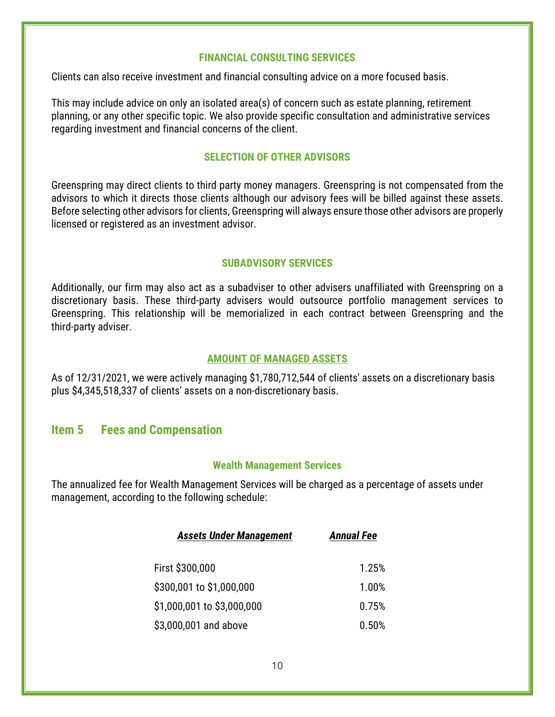#### **FINANCIAL CONSULTING SERVICES**

Clients can also receive investment and financial consulting advice on a more focused basis.

This may include advice on only an isolated area(s) of concern such as estate planning, retirement planning, or any other specific topic. We also provide specific consultation and administrative services regarding investment and financial concerns of the client.

### **SELECTION OF OTHER ADVISORS**

Greenspring may direct clients to third party money managers. Greenspring is not compensated from the advisors to which it directs those clients although our advisory fees will be billed against these assets. Before selecting other advisors for clients, Greenspring will always ensure those other advisors are properly licensed or registered as an investment advisor.

### **SUBADVISORY SERVICES**

Additionally, our firm may also act as a subadviser to other advisers unaffiliated with Greenspring on a discretionary basis. These third-party advisers would outsource portfolio management services to Greenspring. This relationship will be memorialized in each contract between Greenspring and the third-party adviser.

#### **AMOUNT OF MANAGED ASSETS**

As of 12/31/2021, we were actively managing \$1,780,712,544 of clients' assets on a discretionary basis plus \$4,345,518,337 of clients' assets on a non-discretionary basis.

# <span id="page-10-0"></span>**Item 5 Fees and Compensation**

#### **Wealth Management Services**

The annualized fee for Wealth Management Services will be charged as a percentage of assets under management, according to the following schedule:

| <b>Assets Under Management</b> | <b>Annual Fee</b> |
|--------------------------------|-------------------|
| First \$300,000                | 1.25%             |
| \$300,001 to \$1,000,000       | 1.00%             |
| \$1,000,001 to \$3,000,000     | 0.75%             |
| \$3,000,001 and above          | 0.50%             |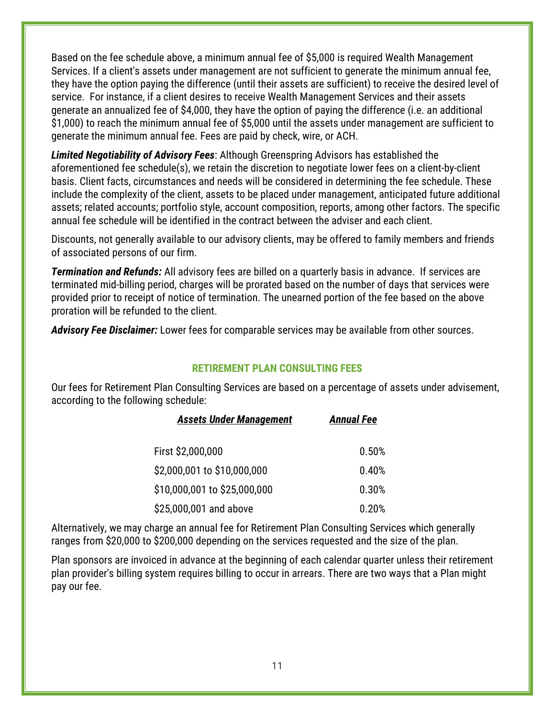Based on the fee schedule above, a minimum annual fee of \$5,000 is required Wealth Management Services. If a client's assets under management are not sufficient to generate the minimum annual fee, they have the option paying the difference (until their assets are sufficient) to receive the desired level of service. For instance, if a client desires to receive Wealth Management Services and their assets generate an annualized fee of \$4,000, they have the option of paying the difference (i.e. an additional \$1,000) to reach the minimum annual fee of \$5,000 until the assets under management are sufficient to generate the minimum annual fee. Fees are paid by check, wire, or ACH.

*Limited Negotiability of Advisory Fees*: Although Greenspring Advisors has established the aforementioned fee schedule(s), we retain the discretion to negotiate lower fees on a client-by-client basis. Client facts, circumstances and needs will be considered in determining the fee schedule. These include the complexity of the client, assets to be placed under management, anticipated future additional assets; related accounts; portfolio style, account composition, reports, among other factors. The specific annual fee schedule will be identified in the contract between the adviser and each client.

Discounts, not generally available to our advisory clients, may be offered to family members and friends of associated persons of our firm.

*Termination and Refunds:* All advisory fees are billed on a quarterly basis in advance. If services are terminated mid-billing period, charges will be prorated based on the number of days that services were provided prior to receipt of notice of termination. The unearned portion of the fee based on the above proration will be refunded to the client.

*Advisory Fee Disclaimer:* Lower fees for comparable services may be available from other sources.

#### **RETIREMENT PLAN CONSULTING FEES**

Our fees for Retirement Plan Consulting Services are based on a percentage of assets under advisement, according to the following schedule:

| <b>Assets Under Management</b> | <b>Annual Fee</b> |
|--------------------------------|-------------------|
| First \$2,000,000              | 0.50%             |
| \$2,000,001 to \$10,000,000    | 0.40%             |
| \$10,000,001 to \$25,000,000   | 0.30%             |
| \$25,000,001 and above         | 0.20%             |

Alternatively, we may charge an annual fee for Retirement Plan Consulting Services which generally ranges from \$20,000 to \$200,000 depending on the services requested and the size of the plan.

Plan sponsors are invoiced in advance at the beginning of each calendar quarter unless their retirement plan provider's billing system requires billing to occur in arrears. There are two ways that a Plan might pay our fee.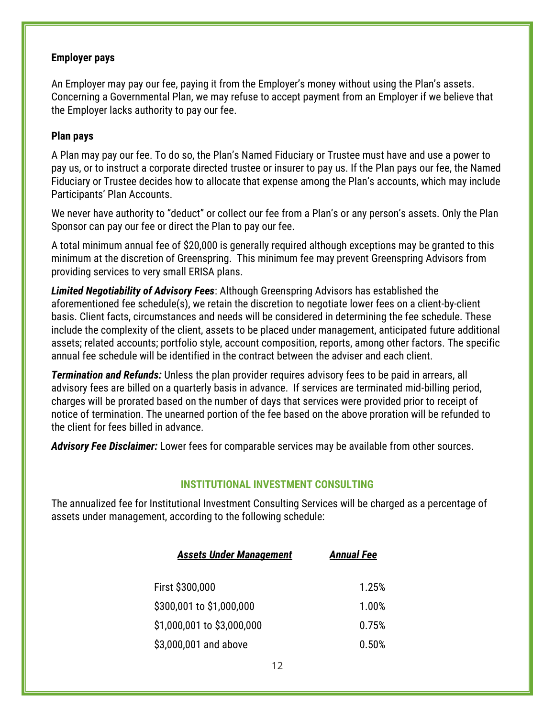#### **Employer pays**

An Employer may pay our fee, paying it from the Employer's money without using the Plan's assets. Concerning a Governmental Plan, we may refuse to accept payment from an Employer if we believe that the Employer lacks authority to pay our fee.

### **Plan pays**

A Plan may pay our fee. To do so, the Plan's Named Fiduciary or Trustee must have and use a power to pay us, or to instruct a corporate directed trustee or insurer to pay us. If the Plan pays our fee, the Named Fiduciary or Trustee decides how to allocate that expense among the Plan's accounts, which may include Participants' Plan Accounts.

We never have authority to "deduct" or collect our fee from a Plan's or any person's assets. Only the Plan Sponsor can pay our fee or direct the Plan to pay our fee.

A total minimum annual fee of \$20,000 is generally required although exceptions may be granted to this minimum at the discretion of Greenspring. This minimum fee may prevent Greenspring Advisors from providing services to very small ERISA plans.

*Limited Negotiability of Advisory Fees*: Although Greenspring Advisors has established the aforementioned fee schedule(s), we retain the discretion to negotiate lower fees on a client-by-client basis. Client facts, circumstances and needs will be considered in determining the fee schedule. These include the complexity of the client, assets to be placed under management, anticipated future additional assets; related accounts; portfolio style, account composition, reports, among other factors. The specific annual fee schedule will be identified in the contract between the adviser and each client.

*Termination and Refunds:* Unless the plan provider requires advisory fees to be paid in arrears, all advisory fees are billed on a quarterly basis in advance. If services are terminated mid-billing period, charges will be prorated based on the number of days that services were provided prior to receipt of notice of termination. The unearned portion of the fee based on the above proration will be refunded to the client for fees billed in advance.

*Advisory Fee Disclaimer:* Lower fees for comparable services may be available from other sources.

### **INSTITUTIONAL INVESTMENT CONSULTING**

The annualized fee for Institutional Investment Consulting Services will be charged as a percentage of assets under management, according to the following schedule:

| <b>Assets Under Management</b> | <b>Annual Fee</b> |
|--------------------------------|-------------------|
| First \$300,000                | 1.25%             |
| \$300,001 to \$1,000,000       | 1.00%             |
| \$1,000,001 to \$3,000,000     | 0.75%             |
| \$3,000,001 and above          | 0.50%             |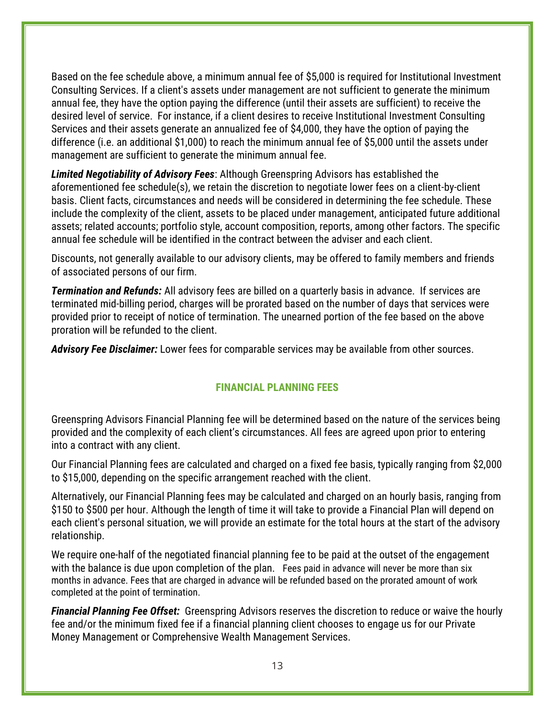Based on the fee schedule above, a minimum annual fee of \$5,000 is required for Institutional Investment Consulting Services. If a client's assets under management are not sufficient to generate the minimum annual fee, they have the option paying the difference (until their assets are sufficient) to receive the desired level of service. For instance, if a client desires to receive Institutional Investment Consulting Services and their assets generate an annualized fee of \$4,000, they have the option of paying the difference (i.e. an additional \$1,000) to reach the minimum annual fee of \$5,000 until the assets under management are sufficient to generate the minimum annual fee.

*Limited Negotiability of Advisory Fees*: Although Greenspring Advisors has established the aforementioned fee schedule(s), we retain the discretion to negotiate lower fees on a client-by-client basis. Client facts, circumstances and needs will be considered in determining the fee schedule. These include the complexity of the client, assets to be placed under management, anticipated future additional assets; related accounts; portfolio style, account composition, reports, among other factors. The specific annual fee schedule will be identified in the contract between the adviser and each client.

Discounts, not generally available to our advisory clients, may be offered to family members and friends of associated persons of our firm.

*Termination and Refunds:* All advisory fees are billed on a quarterly basis in advance. If services are terminated mid-billing period, charges will be prorated based on the number of days that services were provided prior to receipt of notice of termination. The unearned portion of the fee based on the above proration will be refunded to the client.

*Advisory Fee Disclaimer:* Lower fees for comparable services may be available from other sources.

#### **FINANCIAL PLANNING FEES**

Greenspring Advisors Financial Planning fee will be determined based on the nature of the services being provided and the complexity of each client's circumstances. All fees are agreed upon prior to entering into a contract with any client.

Our Financial Planning fees are calculated and charged on a fixed fee basis, typically ranging from \$2,000 to \$15,000, depending on the specific arrangement reached with the client.

Alternatively, our Financial Planning fees may be calculated and charged on an hourly basis, ranging from \$150 to \$500 per hour. Although the length of time it will take to provide a Financial Plan will depend on each client's personal situation, we will provide an estimate for the total hours at the start of the advisory relationship.

We require one-half of the negotiated financial planning fee to be paid at the outset of the engagement with the balance is due upon completion of the plan. Fees paid in advance will never be more than six months in advance. Fees that are charged in advance will be refunded based on the prorated amount of work completed at the point of termination.

*Financial Planning Fee Offset:* Greenspring Advisors reserves the discretion to reduce or waive the hourly fee and/or the minimum fixed fee if a financial planning client chooses to engage us for our Private Money Management or Comprehensive Wealth Management Services.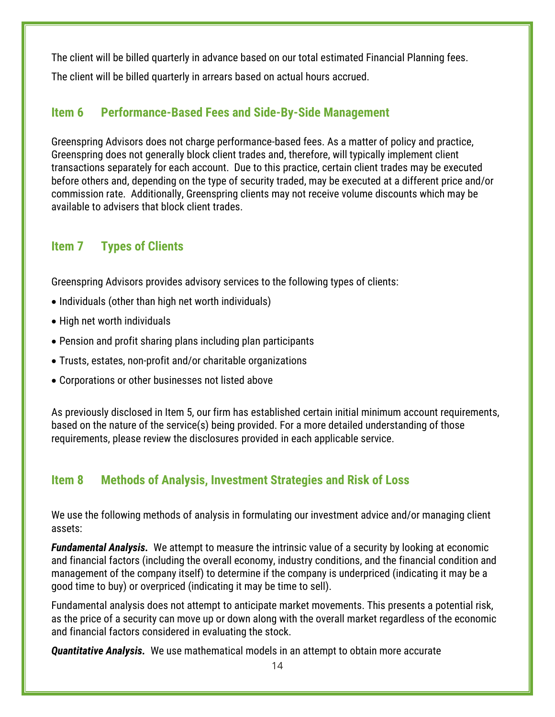The client will be billed quarterly in advance based on our total estimated Financial Planning fees. The client will be billed quarterly in arrears based on actual hours accrued.

# <span id="page-14-0"></span>**Item 6 Performance-Based Fees and Side-By-Side Management**

Greenspring Advisors does not charge performance-based fees. As a matter of policy and practice, Greenspring does not generally block client trades and, therefore, will typically implement client transactions separately for each account. Due to this practice, certain client trades may be executed before others and, depending on the type of security traded, may be executed at a different price and/or commission rate. Additionally, Greenspring clients may not receive volume discounts which may be available to advisers that block client trades.

# <span id="page-14-1"></span>**Item 7 Types of Clients**

Greenspring Advisors provides advisory services to the following types of clients:

- Individuals (other than high net worth individuals)
- High net worth individuals
- Pension and profit sharing plans including plan participants
- Trusts, estates, non-profit and/or charitable organizations
- Corporations or other businesses not listed above

As previously disclosed in Item 5, our firm has established certain initial minimum account requirements, based on the nature of the service(s) being provided. For a more detailed understanding of those requirements, please review the disclosures provided in each applicable service.

# <span id="page-14-2"></span>**Item 8 Methods of Analysis, Investment Strategies and Risk of Loss**

We use the following methods of analysis in formulating our investment advice and/or managing client assets:

*Fundamental Analysis.* We attempt to measure the intrinsic value of a security by looking at economic and financial factors (including the overall economy, industry conditions, and the financial condition and management of the company itself) to determine if the company is underpriced (indicating it may be a good time to buy) or overpriced (indicating it may be time to sell).

Fundamental analysis does not attempt to anticipate market movements. This presents a potential risk, as the price of a security can move up or down along with the overall market regardless of the economic and financial factors considered in evaluating the stock.

*Quantitative Analysis.* We use mathematical models in an attempt to obtain more accurate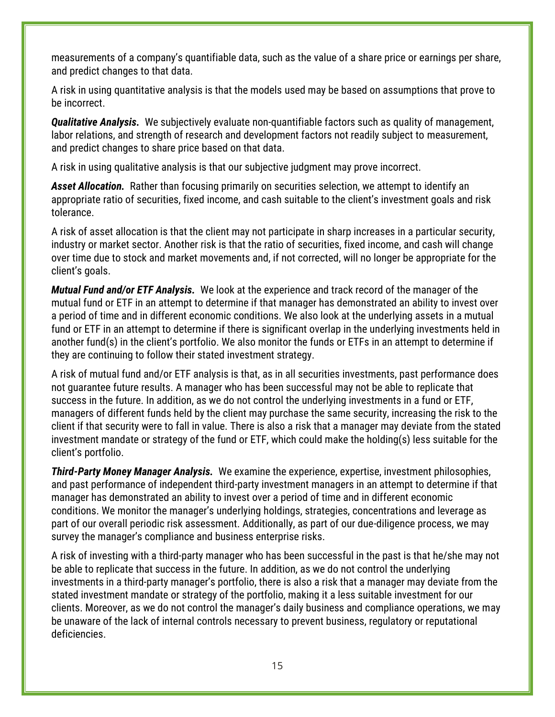measurements of a company's quantifiable data, such as the value of a share price or earnings per share, and predict changes to that data.

A risk in using quantitative analysis is that the models used may be based on assumptions that prove to be incorrect.

*Qualitative Analysis.* We subjectively evaluate non-quantifiable factors such as quality of management, labor relations, and strength of research and development factors not readily subject to measurement, and predict changes to share price based on that data.

A risk in using qualitative analysis is that our subjective judgment may prove incorrect.

*Asset Allocation.* Rather than focusing primarily on securities selection, we attempt to identify an appropriate ratio of securities, fixed income, and cash suitable to the client's investment goals and risk tolerance.

A risk of asset allocation is that the client may not participate in sharp increases in a particular security, industry or market sector. Another risk is that the ratio of securities, fixed income, and cash will change over time due to stock and market movements and, if not corrected, will no longer be appropriate for the client's goals.

*Mutual Fund and/or ETF Analysis.* We look at the experience and track record of the manager of the mutual fund or ETF in an attempt to determine if that manager has demonstrated an ability to invest over a period of time and in different economic conditions. We also look at the underlying assets in a mutual fund or ETF in an attempt to determine if there is significant overlap in the underlying investments held in another fund(s) in the client's portfolio. We also monitor the funds or ETFs in an attempt to determine if they are continuing to follow their stated investment strategy.

A risk of mutual fund and/or ETF analysis is that, as in all securities investments, past performance does not guarantee future results. A manager who has been successful may not be able to replicate that success in the future. In addition, as we do not control the underlying investments in a fund or ETF, managers of different funds held by the client may purchase the same security, increasing the risk to the client if that security were to fall in value. There is also a risk that a manager may deviate from the stated investment mandate or strategy of the fund or ETF, which could make the holding(s) less suitable for the client's portfolio.

*Third-Party Money Manager Analysis.* We examine the experience, expertise, investment philosophies, and past performance of independent third-party investment managers in an attempt to determine if that manager has demonstrated an ability to invest over a period of time and in different economic conditions. We monitor the manager's underlying holdings, strategies, concentrations and leverage as part of our overall periodic risk assessment. Additionally, as part of our due-diligence process, we may survey the manager's compliance and business enterprise risks.

A risk of investing with a third-party manager who has been successful in the past is that he/she may not be able to replicate that success in the future. In addition, as we do not control the underlying investments in a third-party manager's portfolio, there is also a risk that a manager may deviate from the stated investment mandate or strategy of the portfolio, making it a less suitable investment for our clients. Moreover, as we do not control the manager's daily business and compliance operations, we may be unaware of the lack of internal controls necessary to prevent business, regulatory or reputational deficiencies.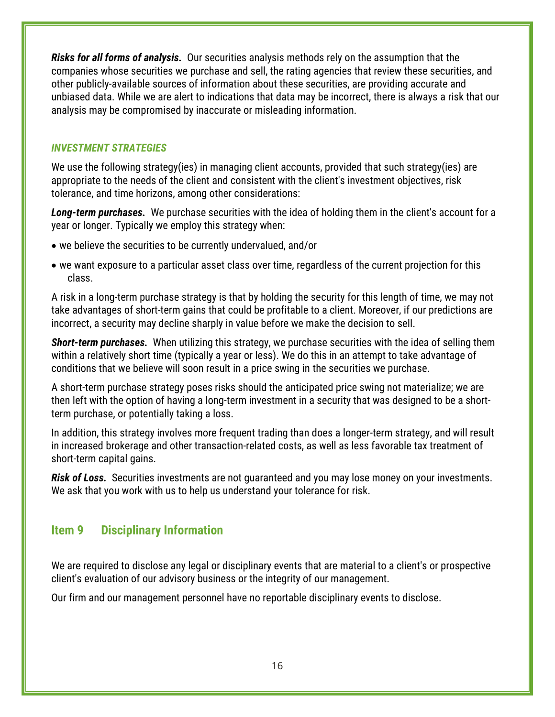*Risks for all forms of analysis.* Our securities analysis methods rely on the assumption that the companies whose securities we purchase and sell, the rating agencies that review these securities, and other publicly-available sources of information about these securities, are providing accurate and unbiased data. While we are alert to indications that data may be incorrect, there is always a risk that our analysis may be compromised by inaccurate or misleading information.

### *INVESTMENT STRATEGIES*

We use the following strategy(ies) in managing client accounts, provided that such strategy(ies) are appropriate to the needs of the client and consistent with the client's investment objectives, risk tolerance, and time horizons, among other considerations:

*Long-term purchases.* We purchase securities with the idea of holding them in the client's account for a year or longer. Typically we employ this strategy when:

- we believe the securities to be currently undervalued, and/or
- we want exposure to a particular asset class over time, regardless of the current projection for this class.

A risk in a long-term purchase strategy is that by holding the security for this length of time, we may not take advantages of short-term gains that could be profitable to a client. Moreover, if our predictions are incorrect, a security may decline sharply in value before we make the decision to sell.

*Short-term purchases.* When utilizing this strategy, we purchase securities with the idea of selling them within a relatively short time (typically a year or less). We do this in an attempt to take advantage of conditions that we believe will soon result in a price swing in the securities we purchase.

A short-term purchase strategy poses risks should the anticipated price swing not materialize; we are then left with the option of having a long-term investment in a security that was designed to be a shortterm purchase, or potentially taking a loss.

In addition, this strategy involves more frequent trading than does a longer-term strategy, and will result in increased brokerage and other transaction-related costs, as well as less favorable tax treatment of short-term capital gains.

*Risk of Loss.* Securities investments are not guaranteed and you may lose money on your investments. We ask that you work with us to help us understand your tolerance for risk.

# <span id="page-16-0"></span>**Item 9 Disciplinary Information**

We are required to disclose any legal or disciplinary events that are material to a client's or prospective client's evaluation of our advisory business or the integrity of our management.

Our firm and our management personnel have no reportable disciplinary events to disclose.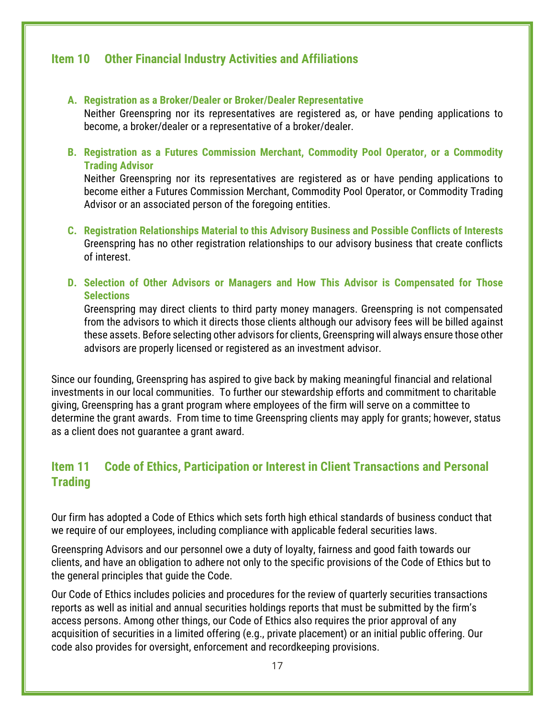# <span id="page-17-0"></span>**Item 10 Other Financial Industry Activities and Affiliations**

#### **A. Registration as a Broker/Dealer or Broker/Dealer Representative**

Neither Greenspring nor its representatives are registered as, or have pending applications to become, a broker/dealer or a representative of a broker/dealer.

**B. Registration as a Futures Commission Merchant, Commodity Pool Operator, or a Commodity Trading Advisor**

Neither Greenspring nor its representatives are registered as or have pending applications to become either a Futures Commission Merchant, Commodity Pool Operator, or Commodity Trading Advisor or an associated person of the foregoing entities.

- **C. Registration Relationships Material to this Advisory Business and Possible Conflicts of Interests** Greenspring has no other registration relationships to our advisory business that create conflicts of interest.
- **D. Selection of Other Advisors or Managers and How This Advisor is Compensated for Those Selections**

Greenspring may direct clients to third party money managers. Greenspring is not compensated from the advisors to which it directs those clients although our advisory fees will be billed against these assets. Before selecting other advisors for clients, Greenspring will always ensure those other advisors are properly licensed or registered as an investment advisor.

Since our founding, Greenspring has aspired to give back by making meaningful financial and relational investments in our local communities. To further our stewardship efforts and commitment to charitable giving, Greenspring has a grant program where employees of the firm will serve on a committee to determine the grant awards. From time to time Greenspring clients may apply for grants; however, status as a client does not guarantee a grant award.

# <span id="page-17-1"></span>**Item 11 Code of Ethics, Participation or Interest in Client Transactions and Personal Trading**

Our firm has adopted a Code of Ethics which sets forth high ethical standards of business conduct that we require of our employees, including compliance with applicable federal securities laws.

Greenspring Advisors and our personnel owe a duty of loyalty, fairness and good faith towards our clients, and have an obligation to adhere not only to the specific provisions of the Code of Ethics but to the general principles that guide the Code.

Our Code of Ethics includes policies and procedures for the review of quarterly securities transactions reports as well as initial and annual securities holdings reports that must be submitted by the firm's access persons. Among other things, our Code of Ethics also requires the prior approval of any acquisition of securities in a limited offering (e.g., private placement) or an initial public offering. Our code also provides for oversight, enforcement and recordkeeping provisions.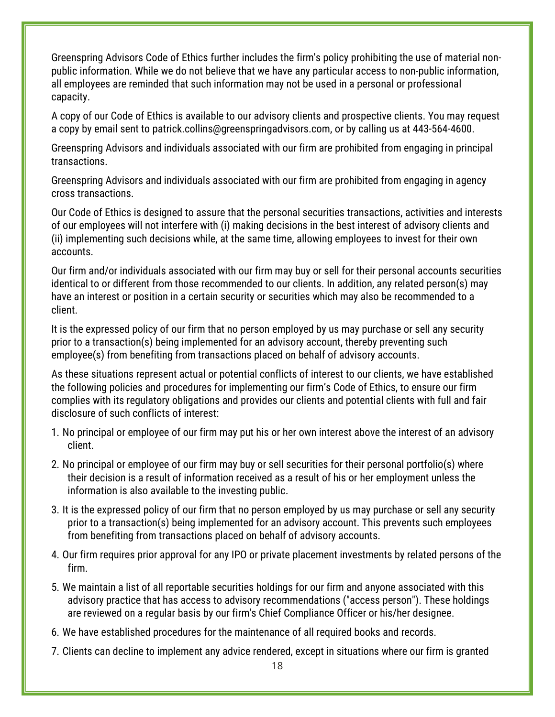Greenspring Advisors Code of Ethics further includes the firm's policy prohibiting the use of material nonpublic information. While we do not believe that we have any particular access to non-public information, all employees are reminded that such information may not be used in a personal or professional capacity.

A copy of our Code of Ethics is available to our advisory clients and prospective clients. You may request a copy by email sent to patrick.collins@greenspringadvisors.com, or by calling us at 443-564-4600.

Greenspring Advisors and individuals associated with our firm are prohibited from engaging in principal transactions.

Greenspring Advisors and individuals associated with our firm are prohibited from engaging in agency cross transactions.

Our Code of Ethics is designed to assure that the personal securities transactions, activities and interests of our employees will not interfere with (i) making decisions in the best interest of advisory clients and (ii) implementing such decisions while, at the same time, allowing employees to invest for their own accounts.

Our firm and/or individuals associated with our firm may buy or sell for their personal accounts securities identical to or different from those recommended to our clients. In addition, any related person(s) may have an interest or position in a certain security or securities which may also be recommended to a client.

It is the expressed policy of our firm that no person employed by us may purchase or sell any security prior to a transaction(s) being implemented for an advisory account, thereby preventing such employee(s) from benefiting from transactions placed on behalf of advisory accounts.

As these situations represent actual or potential conflicts of interest to our clients, we have established the following policies and procedures for implementing our firm's Code of Ethics, to ensure our firm complies with its regulatory obligations and provides our clients and potential clients with full and fair disclosure of such conflicts of interest:

- 1. No principal or employee of our firm may put his or her own interest above the interest of an advisory client.
- 2. No principal or employee of our firm may buy or sell securities for their personal portfolio(s) where their decision is a result of information received as a result of his or her employment unless the information is also available to the investing public.
- 3. It is the expressed policy of our firm that no person employed by us may purchase or sell any security prior to a transaction(s) being implemented for an advisory account. This prevents such employees from benefiting from transactions placed on behalf of advisory accounts.
- 4. Our firm requires prior approval for any IPO or private placement investments by related persons of the firm.
- 5. We maintain a list of all reportable securities holdings for our firm and anyone associated with this advisory practice that has access to advisory recommendations ("access person"). These holdings are reviewed on a regular basis by our firm's Chief Compliance Officer or his/her designee.
- 6. We have established procedures for the maintenance of all required books and records.
- 7. Clients can decline to implement any advice rendered, except in situations where our firm is granted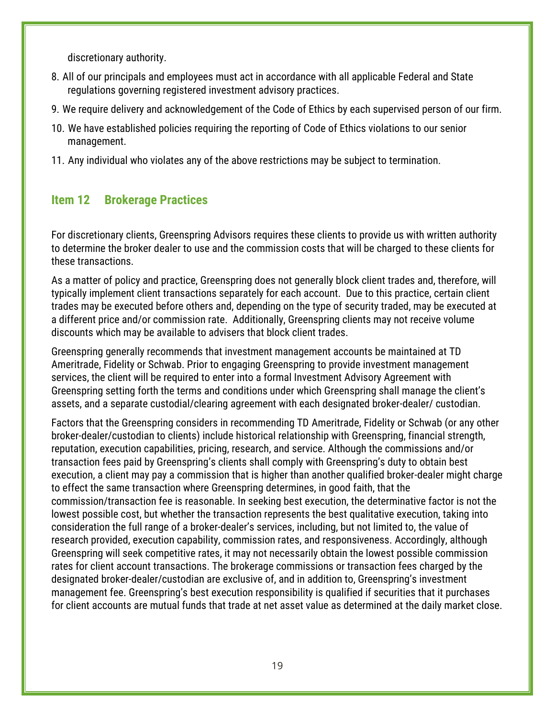discretionary authority.

- 8. All of our principals and employees must act in accordance with all applicable Federal and State regulations governing registered investment advisory practices.
- 9. We require delivery and acknowledgement of the Code of Ethics by each supervised person of our firm.
- 10. We have established policies requiring the reporting of Code of Ethics violations to our senior management.
- 11. Any individual who violates any of the above restrictions may be subject to termination.

# <span id="page-19-0"></span>**Item 12 Brokerage Practices**

For discretionary clients, Greenspring Advisors requires these clients to provide us with written authority to determine the broker dealer to use and the commission costs that will be charged to these clients for these transactions.

As a matter of policy and practice, Greenspring does not generally block client trades and, therefore, will typically implement client transactions separately for each account. Due to this practice, certain client trades may be executed before others and, depending on the type of security traded, may be executed at a different price and/or commission rate. Additionally, Greenspring clients may not receive volume discounts which may be available to advisers that block client trades.

Greenspring generally recommends that investment management accounts be maintained at TD Ameritrade, Fidelity or Schwab. Prior to engaging Greenspring to provide investment management services, the client will be required to enter into a formal Investment Advisory Agreement with Greenspring setting forth the terms and conditions under which Greenspring shall manage the client's assets, and a separate custodial/clearing agreement with each designated broker-dealer/ custodian.

Factors that the Greenspring considers in recommending TD Ameritrade, Fidelity or Schwab (or any other broker-dealer/custodian to clients) include historical relationship with Greenspring, financial strength, reputation, execution capabilities, pricing, research, and service. Although the commissions and/or transaction fees paid by Greenspring's clients shall comply with Greenspring's duty to obtain best execution, a client may pay a commission that is higher than another qualified broker-dealer might charge to effect the same transaction where Greenspring determines, in good faith, that the commission/transaction fee is reasonable. In seeking best execution, the determinative factor is not the lowest possible cost, but whether the transaction represents the best qualitative execution, taking into consideration the full range of a broker-dealer's services, including, but not limited to, the value of research provided, execution capability, commission rates, and responsiveness. Accordingly, although Greenspring will seek competitive rates, it may not necessarily obtain the lowest possible commission rates for client account transactions. The brokerage commissions or transaction fees charged by the designated broker-dealer/custodian are exclusive of, and in addition to, Greenspring's investment management fee. Greenspring's best execution responsibility is qualified if securities that it purchases for client accounts are mutual funds that trade at net asset value as determined at the daily market close.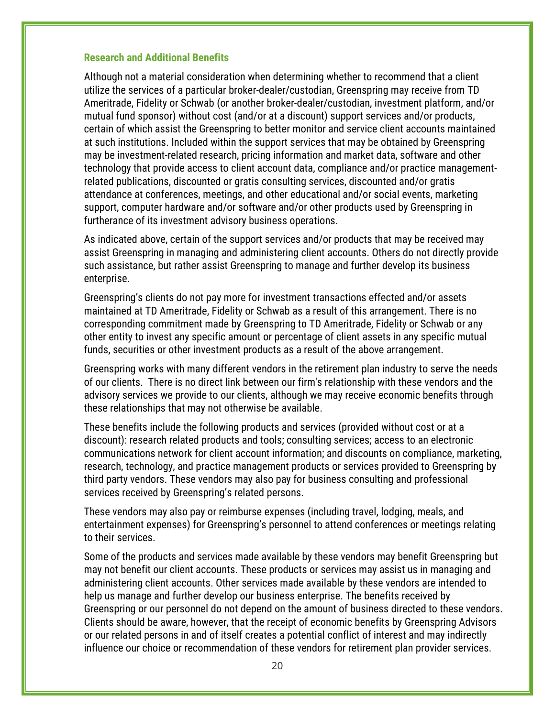#### **Research and Additional Benefits**

Although not a material consideration when determining whether to recommend that a client utilize the services of a particular broker-dealer/custodian, Greenspring may receive from TD Ameritrade, Fidelity or Schwab (or another broker-dealer/custodian, investment platform, and/or mutual fund sponsor) without cost (and/or at a discount) support services and/or products, certain of which assist the Greenspring to better monitor and service client accounts maintained at such institutions. Included within the support services that may be obtained by Greenspring may be investment-related research, pricing information and market data, software and other technology that provide access to client account data, compliance and/or practice managementrelated publications, discounted or gratis consulting services, discounted and/or gratis attendance at conferences, meetings, and other educational and/or social events, marketing support, computer hardware and/or software and/or other products used by Greenspring in furtherance of its investment advisory business operations.

As indicated above, certain of the support services and/or products that may be received may assist Greenspring in managing and administering client accounts. Others do not directly provide such assistance, but rather assist Greenspring to manage and further develop its business enterprise.

Greenspring's clients do not pay more for investment transactions effected and/or assets maintained at TD Ameritrade, Fidelity or Schwab as a result of this arrangement. There is no corresponding commitment made by Greenspring to TD Ameritrade, Fidelity or Schwab or any other entity to invest any specific amount or percentage of client assets in any specific mutual funds, securities or other investment products as a result of the above arrangement.

Greenspring works with many different vendors in the retirement plan industry to serve the needs of our clients. There is no direct link between our firm's relationship with these vendors and the advisory services we provide to our clients, although we may receive economic benefits through these relationships that may not otherwise be available.

These benefits include the following products and services (provided without cost or at a discount): research related products and tools; consulting services; access to an electronic communications network for client account information; and discounts on compliance, marketing, research, technology, and practice management products or services provided to Greenspring by third party vendors. These vendors may also pay for business consulting and professional services received by Greenspring's related persons.

These vendors may also pay or reimburse expenses (including travel, lodging, meals, and entertainment expenses) for Greenspring's personnel to attend conferences or meetings relating to their services.

Some of the products and services made available by these vendors may benefit Greenspring but may not benefit our client accounts. These products or services may assist us in managing and administering client accounts. Other services made available by these vendors are intended to help us manage and further develop our business enterprise. The benefits received by Greenspring or our personnel do not depend on the amount of business directed to these vendors. Clients should be aware, however, that the receipt of economic benefits by Greenspring Advisors or our related persons in and of itself creates a potential conflict of interest and may indirectly influence our choice or recommendation of these vendors for retirement plan provider services.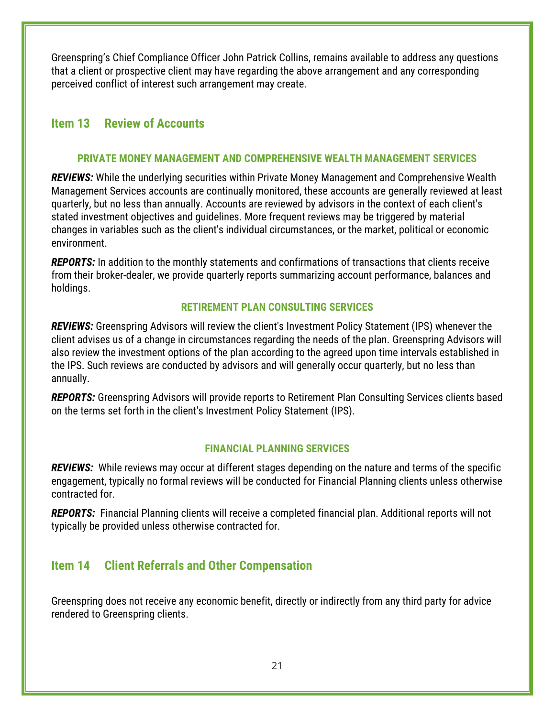Greenspring's Chief Compliance Officer John Patrick Collins, remains available to address any questions that a client or prospective client may have regarding the above arrangement and any corresponding perceived conflict of interest such arrangement may create.

# <span id="page-21-0"></span>**Item 13 Review of Accounts**

### **PRIVATE MONEY MANAGEMENT AND COMPREHENSIVE WEALTH MANAGEMENT SERVICES**

*REVIEWS:* While the underlying securities within Private Money Management and Comprehensive Wealth Management Services accounts are continually monitored, these accounts are generally reviewed at least quarterly, but no less than annually. Accounts are reviewed by advisors in the context of each client's stated investment objectives and guidelines. More frequent reviews may be triggered by material changes in variables such as the client's individual circumstances, or the market, political or economic environment.

*REPORTS:* In addition to the monthly statements and confirmations of transactions that clients receive from their broker-dealer, we provide quarterly reports summarizing account performance, balances and holdings.

### **RETIREMENT PLAN CONSULTING SERVICES**

*REVIEWS:* Greenspring Advisors will review the client's Investment Policy Statement (IPS) whenever the client advises us of a change in circumstances regarding the needs of the plan. Greenspring Advisors will also review the investment options of the plan according to the agreed upon time intervals established in the IPS. Such reviews are conducted by advisors and will generally occur quarterly, but no less than annually.

*REPORTS:* Greenspring Advisors will provide reports to Retirement Plan Consulting Services clients based on the terms set forth in the client's Investment Policy Statement (IPS).

#### **FINANCIAL PLANNING SERVICES**

*REVIEWS:* While reviews may occur at different stages depending on the nature and terms of the specific engagement, typically no formal reviews will be conducted for Financial Planning clients unless otherwise contracted for.

*REPORTS:* Financial Planning clients will receive a completed financial plan. Additional reports will not typically be provided unless otherwise contracted for.

# <span id="page-21-1"></span>**Item 14 Client Referrals and Other Compensation**

Greenspring does not receive any economic benefit, directly or indirectly from any third party for advice rendered to Greenspring clients.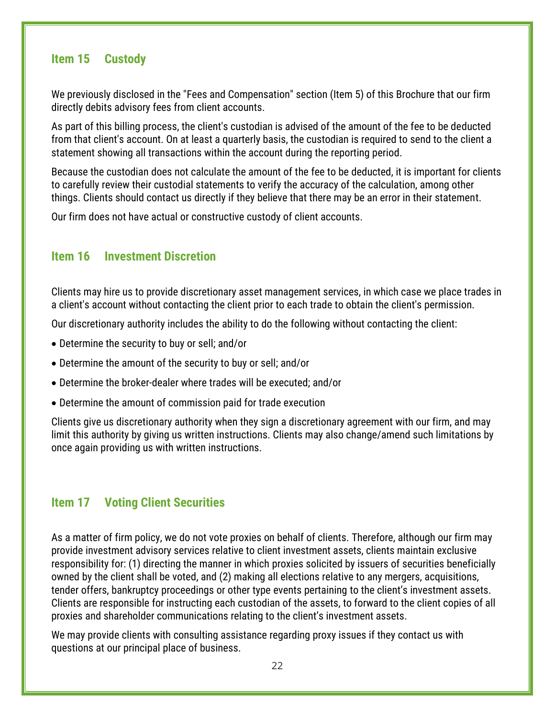# <span id="page-22-0"></span>**Item 15 Custody**

We previously disclosed in the "Fees and Compensation" section (Item 5) of this Brochure that our firm directly debits advisory fees from client accounts.

As part of this billing process, the client's custodian is advised of the amount of the fee to be deducted from that client's account. On at least a quarterly basis, the custodian is required to send to the client a statement showing all transactions within the account during the reporting period.

Because the custodian does not calculate the amount of the fee to be deducted, it is important for clients to carefully review their custodial statements to verify the accuracy of the calculation, among other things. Clients should contact us directly if they believe that there may be an error in their statement.

Our firm does not have actual or constructive custody of client accounts.

# <span id="page-22-1"></span>**Item 16 Investment Discretion**

Clients may hire us to provide discretionary asset management services, in which case we place trades in a client's account without contacting the client prior to each trade to obtain the client's permission.

Our discretionary authority includes the ability to do the following without contacting the client:

- Determine the security to buy or sell; and/or
- Determine the amount of the security to buy or sell; and/or
- Determine the broker-dealer where trades will be executed; and/or
- Determine the amount of commission paid for trade execution

Clients give us discretionary authority when they sign a discretionary agreement with our firm, and may limit this authority by giving us written instructions. Clients may also change/amend such limitations by once again providing us with written instructions.

# <span id="page-22-2"></span>**Item 17 Voting Client Securities**

As a matter of firm policy, we do not vote proxies on behalf of clients. Therefore, although our firm may provide investment advisory services relative to client investment assets, clients maintain exclusive responsibility for: (1) directing the manner in which proxies solicited by issuers of securities beneficially owned by the client shall be voted, and (2) making all elections relative to any mergers, acquisitions, tender offers, bankruptcy proceedings or other type events pertaining to the client's investment assets. Clients are responsible for instructing each custodian of the assets, to forward to the client copies of all proxies and shareholder communications relating to the client's investment assets.

We may provide clients with consulting assistance regarding proxy issues if they contact us with questions at our principal place of business.